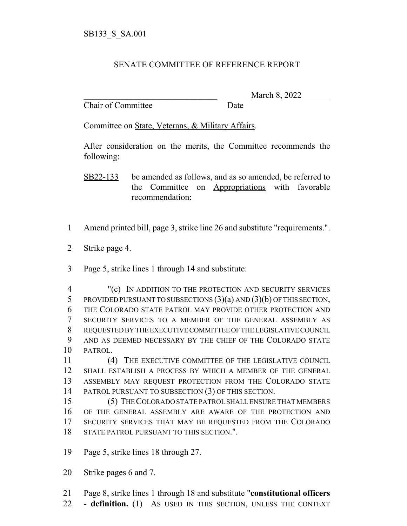## SENATE COMMITTEE OF REFERENCE REPORT

Chair of Committee Date

March 8, 2022

Committee on State, Veterans, & Military Affairs.

After consideration on the merits, the Committee recommends the following:

- Amend printed bill, page 3, strike line 26 and substitute "requirements.".
- Strike page 4.
- Page 5, strike lines 1 through 14 and substitute:

 "(c) IN ADDITION TO THE PROTECTION AND SECURITY SERVICES PROVIDED PURSUANT TO SUBSECTIONS (3)(a) AND (3)(b) OF THIS SECTION, THE COLORADO STATE PATROL MAY PROVIDE OTHER PROTECTION AND SECURITY SERVICES TO A MEMBER OF THE GENERAL ASSEMBLY AS REQUESTED BY THE EXECUTIVE COMMITTEE OF THE LEGISLATIVE COUNCIL AND AS DEEMED NECESSARY BY THE CHIEF OF THE COLORADO STATE PATROL.

 (4) THE EXECUTIVE COMMITTEE OF THE LEGISLATIVE COUNCIL SHALL ESTABLISH A PROCESS BY WHICH A MEMBER OF THE GENERAL ASSEMBLY MAY REQUEST PROTECTION FROM THE COLORADO STATE PATROL PURSUANT TO SUBSECTION (3) OF THIS SECTION.

 (5) THE COLORADO STATE PATROL SHALL ENSURE THAT MEMBERS OF THE GENERAL ASSEMBLY ARE AWARE OF THE PROTECTION AND SECURITY SERVICES THAT MAY BE REQUESTED FROM THE COLORADO STATE PATROL PURSUANT TO THIS SECTION.".

Page 5, strike lines 18 through 27.

Strike pages 6 and 7.

Page 8, strike lines 1 through 18 and substitute "**constitutional officers**

**- definition.** (1) AS USED IN THIS SECTION, UNLESS THE CONTEXT

SB22-133 be amended as follows, and as so amended, be referred to the Committee on Appropriations with favorable recommendation: